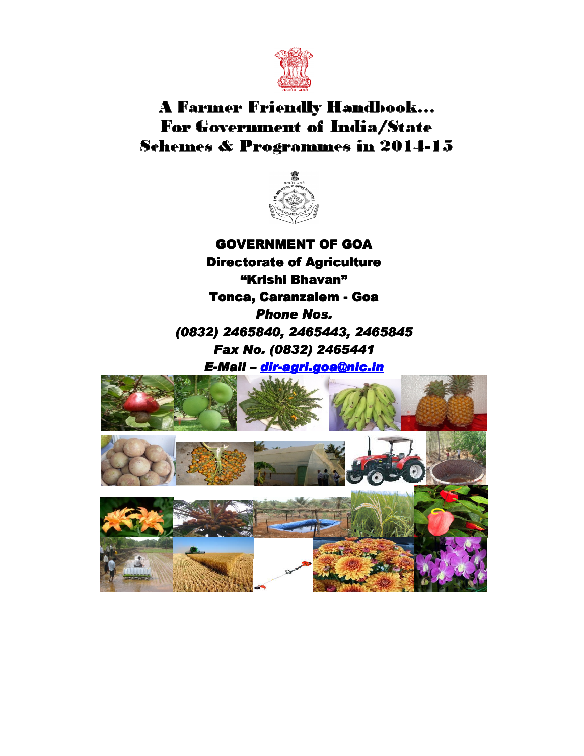

# **A Farmer Friendly Handbook...** For Government of India/State **Schemes & Programmes in 2014-15**



GOVERNMENT OF GOA Directorate of Agriculture "Krishi Bhavan" Tonca, Caranzalem - Goa Phone Nos. (0832) 2465840, 2465443, 2465845 Fax No. (0832) 2465441

E-Mail – dir-agri.goa@nic.in

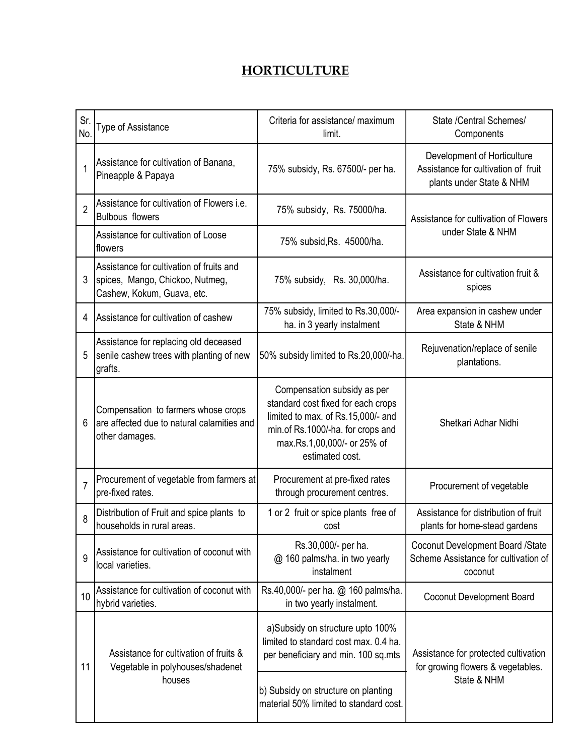# **HORTICULTURE**

| Sr.<br>No.     | <b>Type of Assistance</b>                                                                                 | Criteria for assistance/ maximum<br>limit.                                                                                                                                                     | State /Central Schemes/<br>Components                                                          |
|----------------|-----------------------------------------------------------------------------------------------------------|------------------------------------------------------------------------------------------------------------------------------------------------------------------------------------------------|------------------------------------------------------------------------------------------------|
| 1              | Assistance for cultivation of Banana,<br>Pineapple & Papaya                                               | 75% subsidy, Rs. 67500/- per ha.                                                                                                                                                               | Development of Horticulture<br>Assistance for cultivation of fruit<br>plants under State & NHM |
| $\overline{2}$ | Assistance for cultivation of Flowers i.e.<br><b>Bulbous flowers</b>                                      | 75% subsidy, Rs. 75000/ha.                                                                                                                                                                     | Assistance for cultivation of Flowers                                                          |
|                | Assistance for cultivation of Loose<br>flowers                                                            | 75% subsid, Rs. 45000/ha.                                                                                                                                                                      | under State & NHM                                                                              |
| 3              | Assistance for cultivation of fruits and<br>spices, Mango, Chickoo, Nutmeg,<br>Cashew, Kokum, Guava, etc. | 75% subsidy, Rs. 30,000/ha.                                                                                                                                                                    | Assistance for cultivation fruit &<br>spices                                                   |
| 4              | Assistance for cultivation of cashew                                                                      | 75% subsidy, limited to Rs.30,000/-<br>ha. in 3 yearly instalment                                                                                                                              | Area expansion in cashew under<br>State & NHM                                                  |
| 5              | Assistance for replacing old deceased<br>senile cashew trees with planting of new<br>grafts.              | 50% subsidy limited to Rs.20,000/-ha.                                                                                                                                                          | Rejuvenation/replace of senile<br>plantations.                                                 |
| 6              | Compensation to farmers whose crops<br>are affected due to natural calamities and<br>other damages.       | Compensation subsidy as per<br>standard cost fixed for each crops<br>limited to max. of Rs.15,000/- and<br>min.of Rs.1000/-ha. for crops and<br>max.Rs.1,00,000/- or 25% of<br>estimated cost. | Shetkari Adhar Nidhi                                                                           |
| $\overline{7}$ | Procurement of vegetable from farmers at<br>pre-fixed rates.                                              | Procurement at pre-fixed rates<br>through procurement centres.                                                                                                                                 | Procurement of vegetable                                                                       |
| 8              | Distribution of Fruit and spice plants to<br>households in rural areas.                                   | 1 or 2 fruit or spice plants free of<br>cost                                                                                                                                                   | Assistance for distribution of fruit<br>plants for home-stead gardens                          |
| 9              | Assistance for cultivation of coconut with<br>local varieties.                                            | Rs.30,000/- per ha.<br>@ 160 palms/ha. in two yearly<br>instalment                                                                                                                             | Coconut Development Board /State<br>Scheme Assistance for cultivation of<br>coconut            |
| 10             | Assistance for cultivation of coconut with<br>hybrid varieties.                                           | Rs.40,000/- per ha. @ 160 palms/ha.<br>in two yearly instalment.                                                                                                                               | Coconut Development Board                                                                      |
| 11             | Assistance for cultivation of fruits &<br>Vegetable in polyhouses/shadenet<br>houses                      | a)Subsidy on structure upto 100%<br>limited to standard cost max. 0.4 ha.<br>per beneficiary and min. 100 sq.mts<br>b) Subsidy on structure on planting                                        | Assistance for protected cultivation<br>for growing flowers & vegetables.<br>State & NHM       |
|                |                                                                                                           | material 50% limited to standard cost.                                                                                                                                                         |                                                                                                |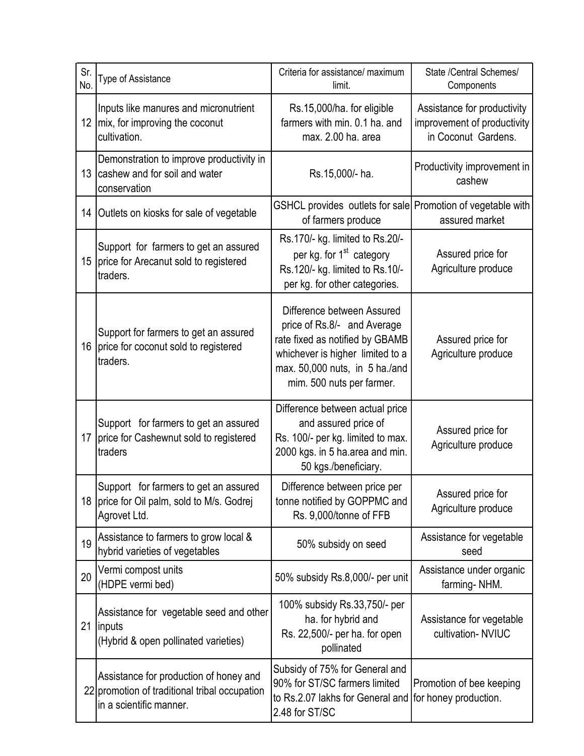| Sr.<br>No.       | Type of Assistance                                                                                                 | Criteria for assistance/ maximum<br>limit.                                                                                                                                                      | State /Central Schemes/<br>Components                                             |
|------------------|--------------------------------------------------------------------------------------------------------------------|-------------------------------------------------------------------------------------------------------------------------------------------------------------------------------------------------|-----------------------------------------------------------------------------------|
|                  | Inputs like manures and micronutrient<br>12 mix, for improving the coconut<br>cultivation.                         | Rs.15,000/ha. for eligible<br>farmers with min, 0.1 ha, and<br>max. 2.00 ha. area                                                                                                               | Assistance for productivity<br>improvement of productivity<br>in Coconut Gardens. |
| 13               | Demonstration to improve productivity in<br>cashew and for soil and water<br>conservation                          | Rs.15,000/- ha.                                                                                                                                                                                 | Productivity improvement in<br>cashew                                             |
| 14               | Outlets on kiosks for sale of vegetable                                                                            | GSHCL provides outlets for sale Promotion of vegetable with<br>of farmers produce                                                                                                               | assured market                                                                    |
| 15 <sup>15</sup> | Support for farmers to get an assured<br>price for Arecanut sold to registered<br>traders.                         | Rs.170/- kg. limited to Rs.20/-<br>per kg. for 1 <sup>st</sup> category<br>Rs.120/- kg. limited to Rs.10/-<br>per kg. for other categories.                                                     | Assured price for<br>Agriculture produce                                          |
| 16               | Support for farmers to get an assured<br>price for coconut sold to registered<br>traders.                          | Difference between Assured<br>price of Rs.8/- and Average<br>rate fixed as notified by GBAMB<br>whichever is higher limited to a<br>max. 50,000 nuts, in 5 ha./and<br>mim. 500 nuts per farmer. | Assured price for<br>Agriculture produce                                          |
| 17               | Support for farmers to get an assured<br>price for Cashewnut sold to registered<br>traders                         | Difference between actual price<br>and assured price of<br>Rs. 100/- per kg. limited to max.<br>2000 kgs. in 5 ha.area and min.<br>50 kgs./beneficiary.                                         | Assured price for<br>Agriculture produce                                          |
| 18 <sup>1</sup>  | Support for farmers to get an assured<br>price for Oil palm, sold to M/s. Godrej<br>Agrovet Ltd.                   | Difference between price per<br>tonne notified by GOPPMC and<br>Rs. 9,000/tonne of FFB                                                                                                          | Assured price for<br>Agriculture produce                                          |
| 19               | Assistance to farmers to grow local &<br>hybrid varieties of vegetables                                            | 50% subsidy on seed                                                                                                                                                                             | Assistance for vegetable<br>seed                                                  |
| 20               | Vermi compost units<br>(HDPE vermi bed)                                                                            | 50% subsidy Rs.8,000/- per unit                                                                                                                                                                 | Assistance under organic<br>farming-NHM.                                          |
| 21               | Assistance for vegetable seed and other<br><i>inputs</i><br>(Hybrid & open pollinated varieties)                   | 100% subsidy Rs.33,750/- per<br>ha. for hybrid and<br>Rs. 22,500/- per ha. for open<br>pollinated                                                                                               | Assistance for vegetable<br>cultivation-NVIUC                                     |
|                  | Assistance for production of honey and<br>22 promotion of traditional tribal occupation<br>in a scientific manner. | Subsidy of 75% for General and<br>90% for ST/SC farmers limited<br>to Rs.2.07 lakhs for General and for honey production.<br>2.48 for ST/SC                                                     | Promotion of bee keeping                                                          |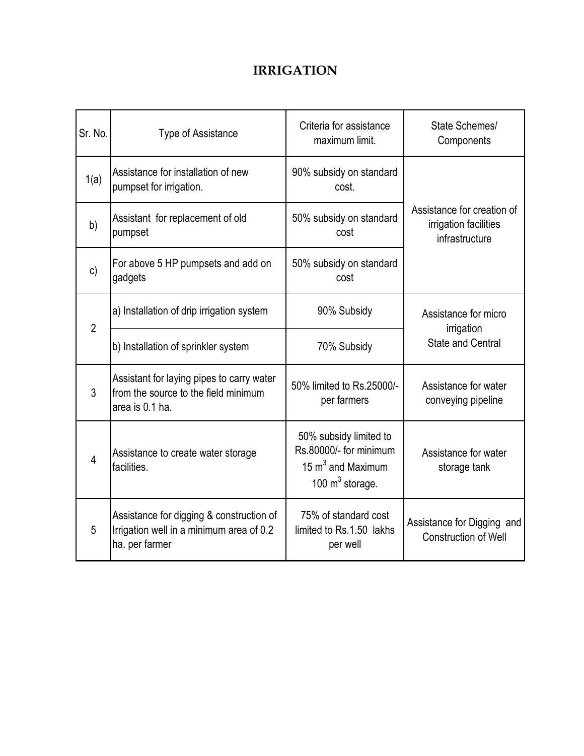### IRRIGATION

| Sr. No.        | <b>Type of Assistance</b>                                                                              | Criteria for assistance<br>maximum limit.                                                    | State Schemes/<br>Components                                          |
|----------------|--------------------------------------------------------------------------------------------------------|----------------------------------------------------------------------------------------------|-----------------------------------------------------------------------|
| 1(a)           | Assistance for installation of new<br>pumpset for irrigation.                                          | 90% subsidy on standard<br>cost.                                                             |                                                                       |
| b)             | Assistant for replacement of old<br>pumpset                                                            | 50% subsidy on standard<br>cost                                                              | Assistance for creation of<br>irrigation facilities<br>infrastructure |
| $\mathsf{c}$   | For above 5 HP pumpsets and add on<br>gadgets                                                          | 50% subsidy on standard<br>cost                                                              |                                                                       |
| $\overline{2}$ | a) Installation of drip irrigation system                                                              | 90% Subsidy                                                                                  | Assistance for micro<br>irrigation<br><b>State and Central</b>        |
|                | b) Installation of sprinkler system                                                                    | 70% Subsidy                                                                                  |                                                                       |
| 3              | Assistant for laying pipes to carry water<br>from the source to the field minimum<br>area is 0.1 ha.   | 50% limited to Rs.25000/-<br>per farmers                                                     | Assistance for water<br>conveying pipeline                            |
| 4              | Assistance to create water storage<br>facilities.                                                      | 50% subsidy limited to<br>Rs.80000/- for minimum<br>15 $m3$ and Maximum<br>100 $m3$ storage. | Assistance for water<br>storage tank                                  |
| 5              | Assistance for digging & construction of<br>Irrigation well in a minimum area of 0.2<br>ha. per farmer | 75% of standard cost<br>limited to Rs.1.50 lakhs<br>per well                                 | Assistance for Digging and<br><b>Construction of Well</b>             |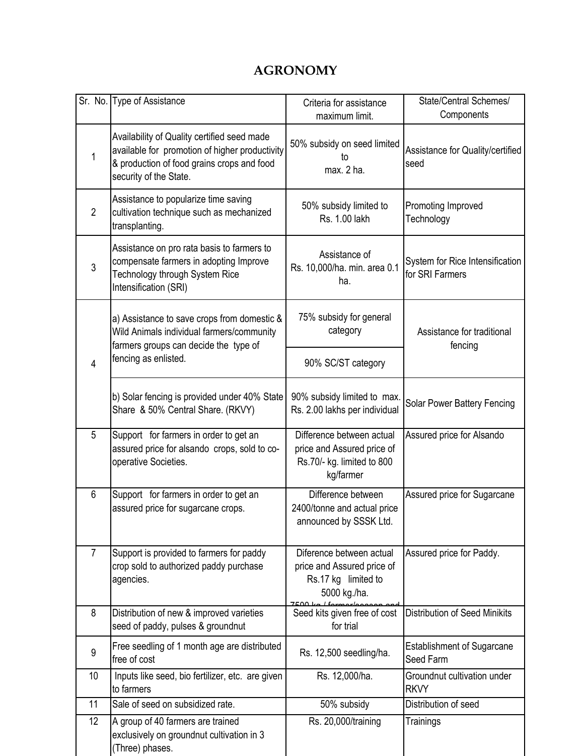#### AGRONOMY

|                | Sr. No. Type of Assistance                                                                                                                                            | Criteria for assistance<br>maximum limit.                                                          | State/Central Schemes/<br>Components               |
|----------------|-----------------------------------------------------------------------------------------------------------------------------------------------------------------------|----------------------------------------------------------------------------------------------------|----------------------------------------------------|
| $\mathbf{1}$   | Availability of Quality certified seed made<br>available for promotion of higher productivity<br>& production of food grains crops and food<br>security of the State. | 50% subsidy on seed limited<br>t٥<br>max. 2 ha.                                                    | Assistance for Quality/certified<br>seed           |
| $\overline{2}$ | Assistance to popularize time saving<br>cultivation technique such as mechanized<br>transplanting.                                                                    | 50% subsidy limited to<br>Rs. 1.00 lakh                                                            | Promoting Improved<br>Technology                   |
| 3              | Assistance on pro rata basis to farmers to<br>compensate farmers in adopting Improve<br>Technology through System Rice<br>Intensification (SRI)                       | Assistance of<br>Rs. 10,000/ha. min. area 0.1<br>ha.                                               | System for Rice Intensification<br>for SRI Farmers |
|                | a) Assistance to save crops from domestic &<br>Wild Animals individual farmers/community<br>farmers groups can decide the type of                                     | 75% subsidy for general<br>category                                                                | Assistance for traditional<br>fencing              |
| $\overline{4}$ | fencing as enlisted.                                                                                                                                                  | 90% SC/ST category                                                                                 |                                                    |
|                | b) Solar fencing is provided under 40% State<br>Share & 50% Central Share. (RKVY)                                                                                     | 90% subsidy limited to max.<br>Rs. 2.00 lakhs per individual                                       | Solar Power Battery Fencing                        |
| 5              | Support for farmers in order to get an<br>assured price for alsando crops, sold to co-<br>operative Societies.                                                        | Difference between actual<br>price and Assured price of<br>Rs.70/- kg. limited to 800<br>kg/farmer | Assured price for Alsando                          |
| 6              | Support for farmers in order to get an<br>assured price for sugarcane crops.                                                                                          | Difference between<br>2400/tonne and actual price<br>announced by SSSK Ltd.                        | Assured price for Sugarcane                        |
| $\overline{7}$ | Support is provided to farmers for paddy<br>crop sold to authorized paddy purchase<br>agencies.                                                                       | Diference between actual<br>price and Assured price of<br>Rs.17 kg limited to<br>5000 kg./ha.      | Assured price for Paddy.                           |
| 8              | Distribution of new & improved varieties<br>seed of paddy, pulses & groundnut                                                                                         | 7500 kg<br>Seed kits given free of cost<br>for trial                                               | <b>Distribution of Seed Minikits</b>               |
| 9              | Free seedling of 1 month age are distributed<br>free of cost                                                                                                          | Rs. 12,500 seedling/ha.                                                                            | Establishment of Sugarcane<br>Seed Farm            |
| 10             | Inputs like seed, bio fertilizer, etc. are given<br>to farmers                                                                                                        | Rs. 12,000/ha.                                                                                     | Groundnut cultivation under<br><b>RKVY</b>         |
| 11             | Sale of seed on subsidized rate.                                                                                                                                      | 50% subsidy                                                                                        | Distribution of seed                               |
| 12             | A group of 40 farmers are trained<br>exclusively on groundnut cultivation in 3<br>(Three) phases.                                                                     | Rs. 20,000/training                                                                                | Trainings                                          |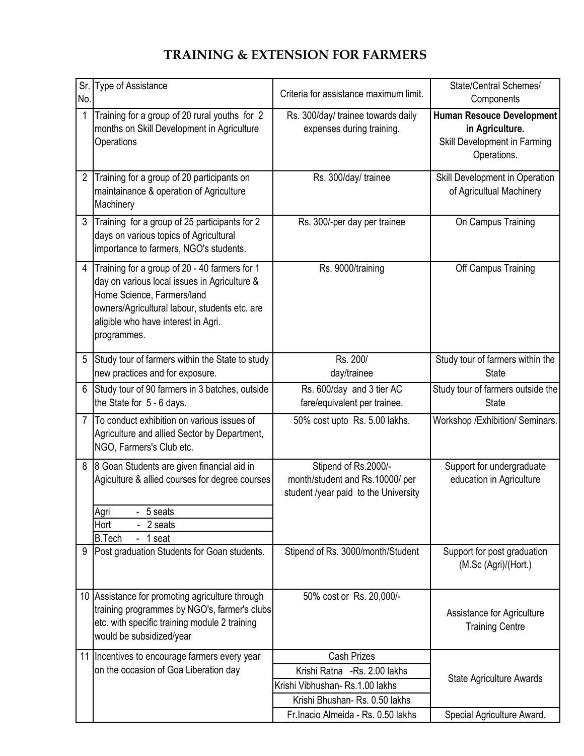# TRAINING & EXTENSION FOR FARMERS

| No.            | Sr. Type of Assistance                                                                                                                                                                                                             | Criteria for assistance maximum limit.                    | State/Central Schemes/                                |
|----------------|------------------------------------------------------------------------------------------------------------------------------------------------------------------------------------------------------------------------------------|-----------------------------------------------------------|-------------------------------------------------------|
|                | Training for a group of 20 rural youths for 2                                                                                                                                                                                      | Rs. 300/day/ trainee towards daily                        | Components<br><b>Human Resouce Development</b>        |
|                | months on Skill Development in Agriculture                                                                                                                                                                                         | expenses during training.                                 | in Agriculture.                                       |
|                | Operations                                                                                                                                                                                                                         |                                                           | Skill Development in Farming                          |
|                |                                                                                                                                                                                                                                    |                                                           | Operations.                                           |
| $\overline{2}$ | Training for a group of 20 participants on                                                                                                                                                                                         | Rs. 300/day/ trainee                                      | Skill Development in Operation                        |
|                | maintainance & operation of Agriculture<br>Machinery                                                                                                                                                                               |                                                           | of Agricultual Machinery                              |
| 3              | Training for a group of 25 participants for 2<br>days on various topics of Agricultural                                                                                                                                            | Rs. 300/-per day per trainee                              | On Campus Training                                    |
|                | importance to farmers, NGO's students.                                                                                                                                                                                             |                                                           |                                                       |
| 4              | Training for a group of 20 - 40 farmers for 1<br>day on various local issues in Agriculture &<br>Home Science, Farmers/land<br>owners/Agricultural labour, students etc. are<br>aligible who have interest in Agri.<br>programmes. | Rs. 9000/training                                         | Off Campus Training                                   |
| 5              | Study tour of farmers within the State to study<br>new practices and for exposure.                                                                                                                                                 | Rs. 200/<br>day/trainee                                   | Study tour of farmers within the<br><b>State</b>      |
| 6              | Study tour of 90 farmers in 3 batches, outside<br>the State for 5 - 6 days.                                                                                                                                                        | Rs. 600/day and 3 tier AC<br>fare/equivalent per trainee. | Study tour of farmers outside the<br><b>State</b>     |
| 7              | To conduct exhibition on various issues of<br>Agriculture and allied Sector by Department,<br>NGO, Farmers's Club etc.                                                                                                             | 50% cost upto Rs. 5.00 lakhs.                             | Workshop / Exhibition/ Seminars.                      |
| 8              | 8 Goan Students are given financial aid in<br>Agiculture & allied courses for degree courses                                                                                                                                       | Stipend of Rs.2000/-<br>month/student and Rs.10000/ per   | Support for undergraduate<br>education in Agriculture |
|                |                                                                                                                                                                                                                                    | student /year paid to the University                      |                                                       |
|                | Agri<br>- 5 seats                                                                                                                                                                                                                  |                                                           |                                                       |
|                | Hort<br>- 2 seats<br><b>B.Tech</b><br>- 1 seat                                                                                                                                                                                     |                                                           |                                                       |
| 9              | Post graduation Students for Goan students.                                                                                                                                                                                        | Stipend of Rs. 3000/month/Student                         | Support for post graduation<br>(M.Sc (Agri)/(Hort.)   |
| 10             | Assistance for promoting agriculture through                                                                                                                                                                                       | 50% cost or Rs. 20,000/-                                  |                                                       |
|                | training programmes by NGO's, farmer's clubs                                                                                                                                                                                       |                                                           | Assistance for Agriculture                            |
|                | etc. with specific training module 2 training<br>would be subsidized/year                                                                                                                                                          |                                                           | <b>Training Centre</b>                                |
| 11             | Incentives to encourage farmers every year                                                                                                                                                                                         | <b>Cash Prizes</b>                                        |                                                       |
|                | on the occasion of Goa Liberation day                                                                                                                                                                                              | Krishi Ratna - Rs. 2.00 lakhs                             | <b>State Agriculture Awards</b>                       |
|                |                                                                                                                                                                                                                                    | Krishi Vibhushan-Rs.1.00 lakhs                            |                                                       |
|                |                                                                                                                                                                                                                                    | Krishi Bhushan- Rs. 0.50 lakhs                            |                                                       |
|                |                                                                                                                                                                                                                                    | Fr.Inacio Almeida - Rs. 0.50 lakhs                        | Special Agriculture Award.                            |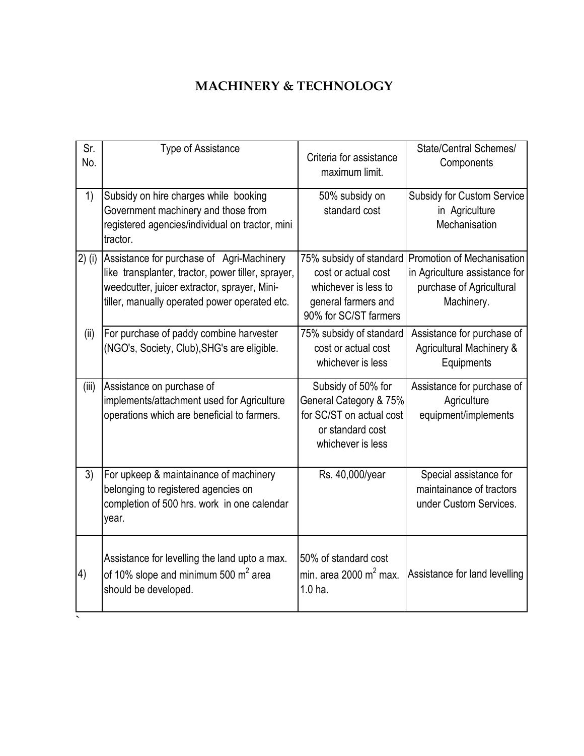# MACHINERY & TECHNOLOGY

| Sr.<br>No. | <b>Type of Assistance</b>                                                                                                                                                                        | Criteria for assistance<br>maximum limit.                                                                              | State/Central Schemes/<br>Components                                                                  |
|------------|--------------------------------------------------------------------------------------------------------------------------------------------------------------------------------------------------|------------------------------------------------------------------------------------------------------------------------|-------------------------------------------------------------------------------------------------------|
| 1)         | Subsidy on hire charges while booking<br>Government machinery and those from<br>registered agencies/individual on tractor, mini<br>tractor.                                                      | 50% subsidy on<br>standard cost                                                                                        | Subsidy for Custom Service<br>in Agriculture<br>Mechanisation                                         |
| $2)$ (i)   | Assistance for purchase of Agri-Machinery<br>like transplanter, tractor, power tiller, sprayer,<br>weedcutter, juicer extractor, sprayer, Mini-<br>tiller, manually operated power operated etc. | 75% subsidy of standard<br>cost or actual cost<br>whichever is less to<br>general farmers and<br>90% for SC/ST farmers | Promotion of Mechanisation<br>in Agriculture assistance for<br>purchase of Agricultural<br>Machinery. |
| (ii)       | For purchase of paddy combine harvester<br>(NGO's, Society, Club), SHG's are eligible.                                                                                                           | 75% subsidy of standard<br>cost or actual cost<br>whichever is less                                                    | Assistance for purchase of<br><b>Agricultural Machinery &amp;</b><br>Equipments                       |
| (iii)      | Assistance on purchase of<br>implements/attachment used for Agriculture<br>operations which are beneficial to farmers.                                                                           | Subsidy of 50% for<br>General Category & 75%<br>for SC/ST on actual cost<br>or standard cost<br>whichever is less      | Assistance for purchase of<br>Agriculture<br>equipment/implements                                     |
| 3)         | For upkeep & maintainance of machinery<br>belonging to registered agencies on<br>completion of 500 hrs. work in one calendar<br>year.                                                            | Rs. 40,000/year                                                                                                        | Special assistance for<br>maintainance of tractors<br>under Custom Services.                          |
| 4)         | Assistance for levelling the land upto a max.<br>of 10% slope and minimum 500 $m2$ area<br>should be developed.                                                                                  | 50% of standard cost<br>min. area 2000 m <sup>2</sup> max.<br>1.0 <sub>ha.</sub>                                       | Assistance for land levelling                                                                         |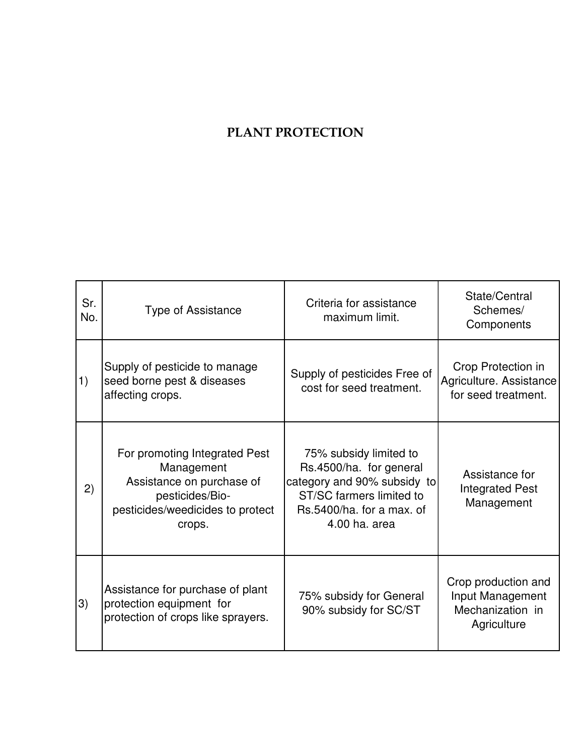## PLANT PROTECTION

| Sr.<br>No. | <b>Type of Assistance</b>                                                                                                                 | Criteria for assistance<br>maximum limit.                                                                                                                  | State/Central<br>Schemes/<br>Components                                    |
|------------|-------------------------------------------------------------------------------------------------------------------------------------------|------------------------------------------------------------------------------------------------------------------------------------------------------------|----------------------------------------------------------------------------|
| 1)         | Supply of pesticide to manage<br>seed borne pest & diseases<br>affecting crops.                                                           | Supply of pesticides Free of<br>cost for seed treatment.                                                                                                   | Crop Protection in<br>Agriculture. Assistance<br>for seed treatment.       |
| 2)         | For promoting Integrated Pest<br>Management<br>Assistance on purchase of<br>pesticides/Bio-<br>pesticides/weedicides to protect<br>crops. | 75% subsidy limited to<br>Rs.4500/ha. for general<br>category and 90% subsidy to<br>ST/SC farmers limited to<br>Rs.5400/ha. for a max. of<br>4.00 ha. area | Assistance for<br><b>Integrated Pest</b><br>Management                     |
| 3)         | Assistance for purchase of plant<br>protection equipment for<br>protection of crops like sprayers.                                        | 75% subsidy for General<br>90% subsidy for SC/ST                                                                                                           | Crop production and<br>Input Management<br>Mechanization in<br>Agriculture |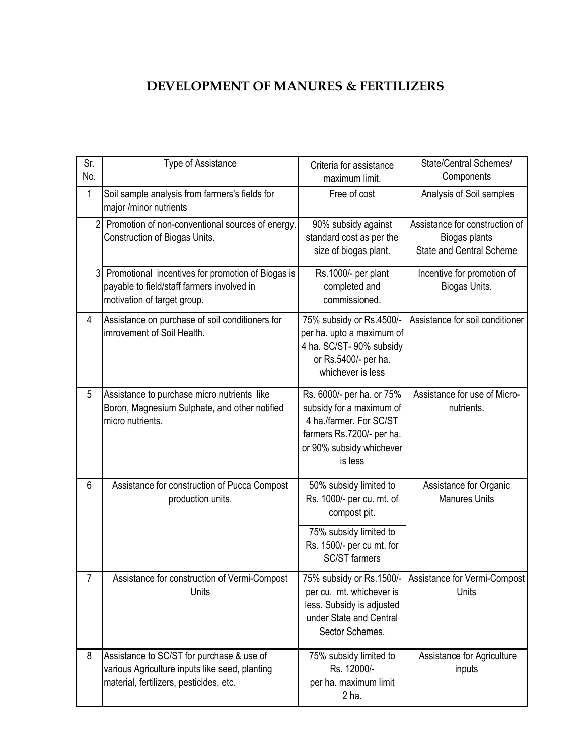### DEVELOPMENT OF MANURES & FERTILIZERS

| Sr.<br>No.     | Type of Assistance                                                                                                                     | Criteria for assistance<br>maximum limit.                                                                                                            | State/Central Schemes/<br>Components                                               |
|----------------|----------------------------------------------------------------------------------------------------------------------------------------|------------------------------------------------------------------------------------------------------------------------------------------------------|------------------------------------------------------------------------------------|
| 1              | Soil sample analysis from farmers's fields for<br>major /minor nutrients                                                               | Free of cost                                                                                                                                         | Analysis of Soil samples                                                           |
| $\overline{2}$ | Promotion of non-conventional sources of energy.<br>Construction of Biogas Units.                                                      | 90% subsidy against<br>standard cost as per the<br>size of biogas plant.                                                                             | Assistance for construction of<br>Biogas plants<br><b>State and Central Scheme</b> |
| 3              | Promotional incentives for promotion of Biogas is<br>payable to field/staff farmers involved in<br>motivation of target group.         | Rs.1000/- per plant<br>completed and<br>commissioned.                                                                                                | Incentive for promotion of<br>Biogas Units.                                        |
| 4              | Assistance on purchase of soil conditioners for<br>imrovement of Soil Health.                                                          | 75% subsidy or Rs.4500/-<br>per ha. upto a maximum of<br>4 ha. SC/ST- 90% subsidy<br>or Rs.5400/- per ha.<br>whichever is less                       | Assistance for soil conditioner                                                    |
| 5              | Assistance to purchase micro nutrients like<br>Boron, Magnesium Sulphate, and other notified<br>micro nutrients.                       | Rs. 6000/- per ha. or 75%<br>subsidy for a maximum of<br>4 ha./farmer. For SC/ST<br>farmers Rs.7200/- per ha.<br>or 90% subsidy whichever<br>is less | Assistance for use of Micro-<br>nutrients.                                         |
| 6              | Assistance for construction of Pucca Compost<br>production units.                                                                      | 50% subsidy limited to<br>Rs. 1000/- per cu. mt. of<br>compost pit.                                                                                  | Assistance for Organic<br><b>Manures Units</b>                                     |
|                |                                                                                                                                        | 75% subsidy limited to<br>Rs. 1500/- per cu mt. for<br><b>SC/ST</b> farmers                                                                          |                                                                                    |
| 7              | Assistance for construction of Vermi-Compost<br>Units                                                                                  | per cu. mt. whichever is<br>less. Subsidy is adjusted<br>under State and Central<br>Sector Schemes.                                                  | 75% subsidy or Rs.1500/- Assistance for Vermi-Compost<br>Units                     |
| 8              | Assistance to SC/ST for purchase & use of<br>various Agriculture inputs like seed, planting<br>material, fertilizers, pesticides, etc. | 75% subsidy limited to<br>Rs. 12000/-<br>per ha. maximum limit<br>$2ha$ .                                                                            | Assistance for Agriculture<br>inputs                                               |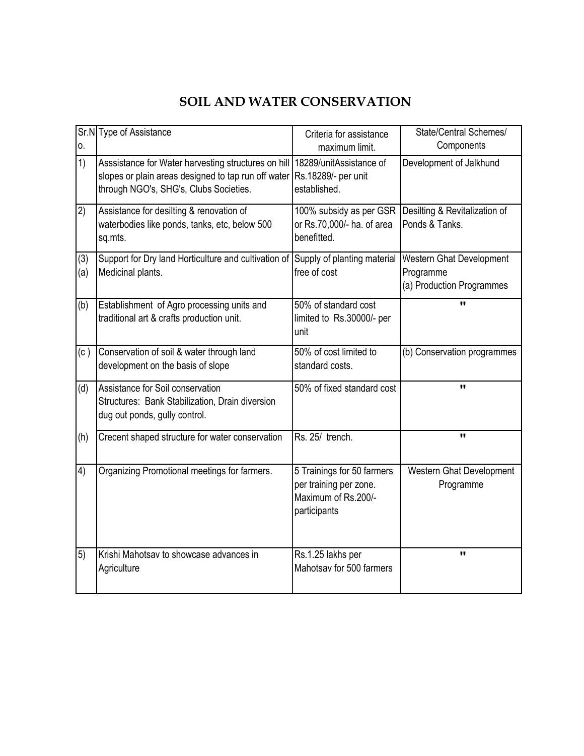### SOIL AND WATER CONSERVATION

| 0.         | Sr.N Type of Assistance                                                                                                                              | Criteria for assistance<br>maximum limit.                                                   | State/Central Schemes/<br>Components                               |
|------------|------------------------------------------------------------------------------------------------------------------------------------------------------|---------------------------------------------------------------------------------------------|--------------------------------------------------------------------|
| 1)         | Asssistance for Water harvesting structures on hill<br>slopes or plain areas designed to tap run off water<br>through NGO's, SHG's, Clubs Societies. | 18289/unitAssistance of<br>Rs.18289/- per unit<br>established.                              | Development of Jalkhund                                            |
| 2)         | Assistance for desilting & renovation of<br>waterbodies like ponds, tanks, etc, below 500<br>sq.mts.                                                 | 100% subsidy as per GSR<br>or Rs.70,000/- ha. of area<br>benefitted.                        | Desilting & Revitalization of<br>Ponds & Tanks.                    |
| (3)<br>(a) | Support for Dry land Horticulture and cultivation of<br>Medicinal plants.                                                                            | Supply of planting material<br>free of cost                                                 | Western Ghat Development<br>Programme<br>(a) Production Programmes |
| (b)        | Establishment of Agro processing units and<br>traditional art & crafts production unit.                                                              | 50% of standard cost<br>limited to Rs.30000/- per<br>unit                                   | $\blacksquare$                                                     |
| (c)        | Conservation of soil & water through land<br>development on the basis of slope                                                                       | 50% of cost limited to<br>standard costs.                                                   | (b) Conservation programmes                                        |
| (d)        | Assistance for Soil conservation<br>Structures: Bank Stabilization, Drain diversion<br>dug out ponds, gully control.                                 | 50% of fixed standard cost                                                                  | $\mathbf{u}$                                                       |
| (h)        | Crecent shaped structure for water conservation                                                                                                      | Rs. 25/ trench.                                                                             | $\mathbf{u}$                                                       |
| 4)         | Organizing Promotional meetings for farmers.                                                                                                         | 5 Trainings for 50 farmers<br>per training per zone.<br>Maximum of Rs.200/-<br>participants | Western Ghat Development<br>Programme                              |
| 5)         | Krishi Mahotsav to showcase advances in<br>Agriculture                                                                                               | Rs.1.25 lakhs per<br>Mahotsav for 500 farmers                                               | $\mathbf{u}$                                                       |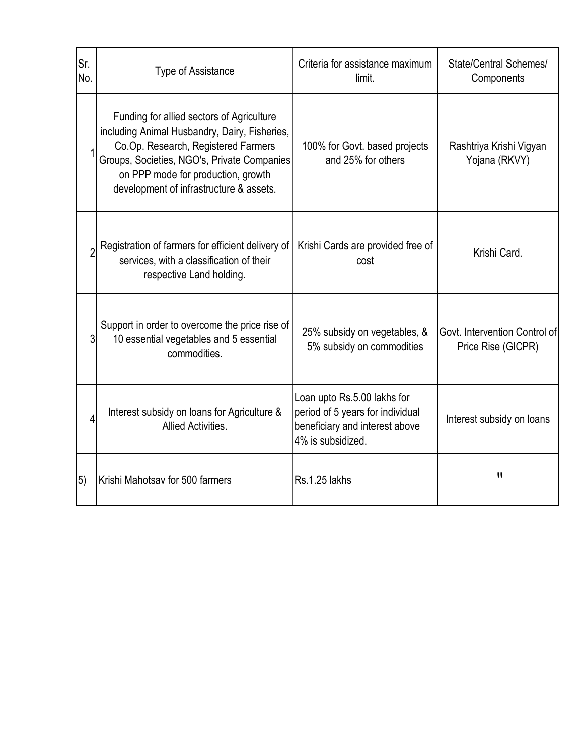| Sr.<br>No. | <b>Type of Assistance</b>                                                                                                                                                                                                                                         | Criteria for assistance maximum<br>limit.                                                                              | State/Central Schemes/<br>Components                |
|------------|-------------------------------------------------------------------------------------------------------------------------------------------------------------------------------------------------------------------------------------------------------------------|------------------------------------------------------------------------------------------------------------------------|-----------------------------------------------------|
|            | Funding for allied sectors of Agriculture<br>including Animal Husbandry, Dairy, Fisheries,<br>Co.Op. Research, Registered Farmers<br>Groups, Societies, NGO's, Private Companies<br>on PPP mode for production, growth<br>development of infrastructure & assets. | 100% for Govt. based projects<br>and 25% for others                                                                    | Rashtriya Krishi Vigyan<br>Yojana (RKVY)            |
|            | Registration of farmers for efficient delivery of<br>services, with a classification of their<br>respective Land holding.                                                                                                                                         | Krishi Cards are provided free of<br>cost                                                                              | Krishi Card.                                        |
| 3          | Support in order to overcome the price rise of<br>10 essential vegetables and 5 essential<br>commodities.                                                                                                                                                         | 25% subsidy on vegetables, &<br>5% subsidy on commodities                                                              | Govt. Intervention Control of<br>Price Rise (GICPR) |
| 4          | Interest subsidy on loans for Agriculture &<br>Allied Activities.                                                                                                                                                                                                 | Loan upto Rs.5.00 lakhs for<br>period of 5 years for individual<br>beneficiary and interest above<br>4% is subsidized. | Interest subsidy on loans                           |
| 5)         | Krishi Mahotsav for 500 farmers                                                                                                                                                                                                                                   | Rs.1.25 lakhs                                                                                                          | $\mathbf{H}$                                        |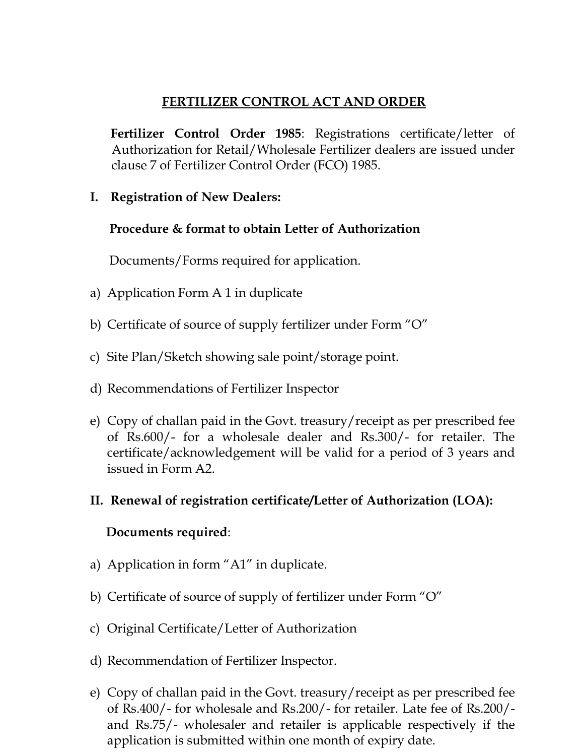### FERTILIZER CONTROL ACT AND ORDER

 Fertilizer Control Order 1985: Registrations certificate/letter of Authorization for Retail/Wholesale Fertilizer dealers are issued under clause 7 of Fertilizer Control Order (FCO) 1985.

I. Registration of New Dealers:

#### Procedure & format to obtain Letter of Authorization

Documents/Forms required for application.

- a) Application Form A 1 in duplicate
- b) Certificate of source of supply fertilizer under Form "O"
- c) Site Plan/Sketch showing sale point/storage point.
- d) Recommendations of Fertilizer Inspector
- e) Copy of challan paid in the Govt. treasury/receipt as per prescribed fee of Rs.600/- for a wholesale dealer and Rs.300/- for retailer. The certificate/acknowledgement will be valid for a period of 3 years and issued in Form A2.
- II. Renewal of registration certificate/Letter of Authorization (LOA):

#### Documents required:

- a) Application in form "A1" in duplicate.
- b) Certificate of source of supply of fertilizer under Form "O"
- c) Original Certificate/Letter of Authorization
- d) Recommendation of Fertilizer Inspector.
- e) Copy of challan paid in the Govt. treasury/receipt as per prescribed fee of Rs.400/- for wholesale and Rs.200/- for retailer. Late fee of Rs.200/ and Rs.75/- wholesaler and retailer is applicable respectively if the application is submitted within one month of expiry date.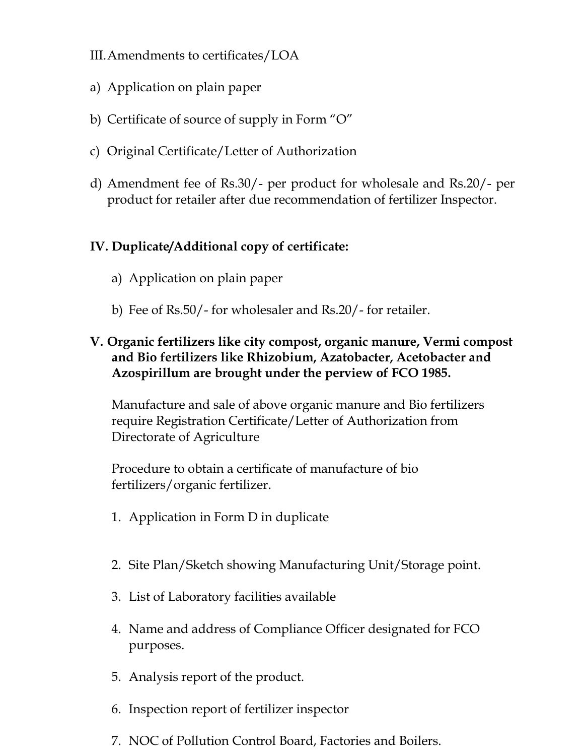- III.Amendments to certificates/LOA
- a) Application on plain paper
- b) Certificate of source of supply in Form "O"
- c) Original Certificate/Letter of Authorization
- d) Amendment fee of Rs.30/- per product for wholesale and Rs.20/- per product for retailer after due recommendation of fertilizer Inspector.

### IV. Duplicate/Additional copy of certificate:

- a) Application on plain paper
- b) Fee of Rs.50/- for wholesaler and Rs.20/- for retailer.

### V. Organic fertilizers like city compost, organic manure, Vermi compost and Bio fertilizers like Rhizobium, Azatobacter, Acetobacter and Azospirillum are brought under the perview of FCO 1985.

Manufacture and sale of above organic manure and Bio fertilizers require Registration Certificate/Letter of Authorization from Directorate of Agriculture

Procedure to obtain a certificate of manufacture of bio fertilizers/organic fertilizer.

- 1. Application in Form D in duplicate
- 2. Site Plan/Sketch showing Manufacturing Unit/Storage point.
- 3. List of Laboratory facilities available
- 4. Name and address of Compliance Officer designated for FCO purposes.
- 5. Analysis report of the product.
- 6. Inspection report of fertilizer inspector
- 7. NOC of Pollution Control Board, Factories and Boilers.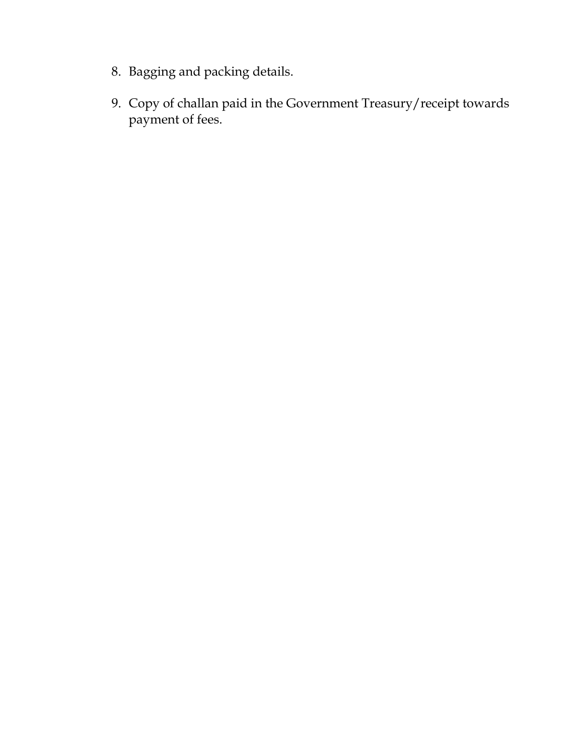- 8. Bagging and packing details.
- 9. Copy of challan paid in the Government Treasury/receipt towards payment of fees.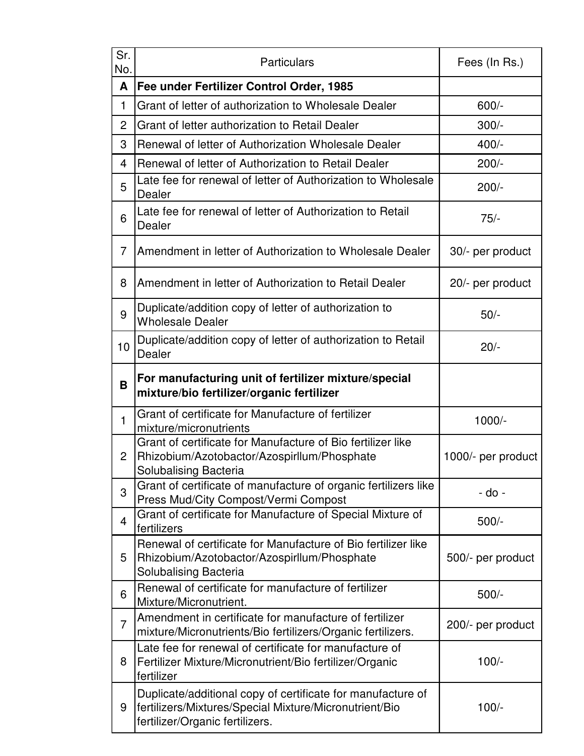| Sr.<br>No.     | Particulars                                                                                                                                              | Fees (In Rs.)      |
|----------------|----------------------------------------------------------------------------------------------------------------------------------------------------------|--------------------|
| A              | Fee under Fertilizer Control Order, 1985                                                                                                                 |                    |
| 1              | Grant of letter of authorization to Wholesale Dealer                                                                                                     | $600/-$            |
| 2              | Grant of letter authorization to Retail Dealer                                                                                                           | $300/-$            |
| 3              | Renewal of letter of Authorization Wholesale Dealer                                                                                                      | $400/-$            |
| 4              | Renewal of letter of Authorization to Retail Dealer                                                                                                      | $200/-$            |
| 5              | Late fee for renewal of letter of Authorization to Wholesale<br>Dealer                                                                                   | $200/-$            |
| 6              | Late fee for renewal of letter of Authorization to Retail<br>Dealer                                                                                      | $75/-$             |
| 7              | Amendment in letter of Authorization to Wholesale Dealer                                                                                                 | 30/- per product   |
| 8              | Amendment in letter of Authorization to Retail Dealer                                                                                                    | 20/- per product   |
| 9              | Duplicate/addition copy of letter of authorization to<br><b>Wholesale Dealer</b>                                                                         | $50/-$             |
| 10             | Duplicate/addition copy of letter of authorization to Retail<br>Dealer                                                                                   | $20/-$             |
| B              | For manufacturing unit of fertilizer mixture/special<br>mixture/bio fertilizer/organic fertilizer                                                        |                    |
| 1              | Grant of certificate for Manufacture of fertilizer<br>mixture/micronutrients                                                                             | $1000/-$           |
| 2              | Grant of certificate for Manufacture of Bio fertilizer like<br>Rhizobium/Azotobactor/Azospirllum/Phosphate<br>Solubalising Bacteria                      | 1000/- per product |
| 3              | Grant of certificate of manufacture of organic fertilizers like<br>Press Mud/City Compost/Vermi Compost                                                  | - do -             |
| 4              | Grant of certificate for Manufacture of Special Mixture of<br>fertilizers                                                                                | $500/-$            |
| 5              | Renewal of certificate for Manufacture of Bio fertilizer like<br>Rhizobium/Azotobactor/Azospirllum/Phosphate<br>Solubalising Bacteria                    | 500/- per product  |
| 6              | Renewal of certificate for manufacture of fertilizer<br>Mixture/Micronutrient.                                                                           | $500/-$            |
| $\overline{7}$ | Amendment in certificate for manufacture of fertilizer<br>mixture/Micronutrients/Bio fertilizers/Organic fertilizers.                                    | 200/- per product  |
| 8              | Late fee for renewal of certificate for manufacture of<br>Fertilizer Mixture/Micronutrient/Bio fertilizer/Organic<br>fertilizer                          | $100/-$            |
| 9              | Duplicate/additional copy of certificate for manufacture of<br>fertilizers/Mixtures/Special Mixture/Micronutrient/Bio<br>fertilizer/Organic fertilizers. | $100/-$            |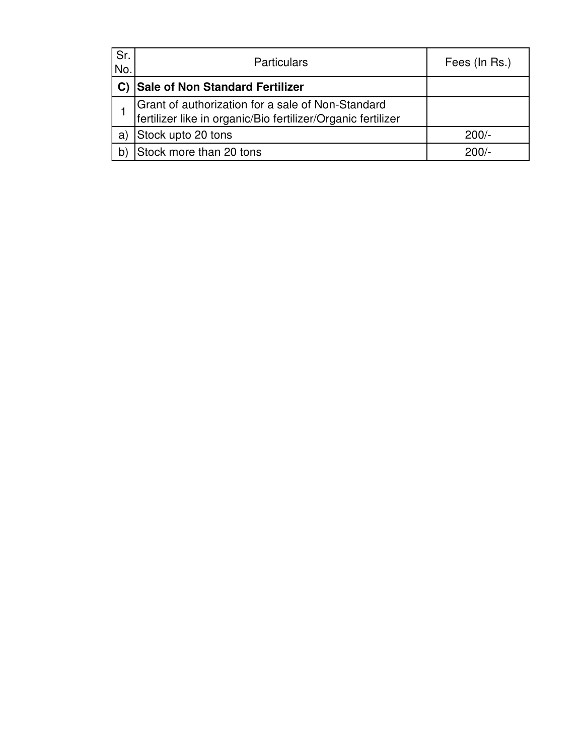| Sr.<br>No.   | <b>Particulars</b>                                                                                                | Fees (In Rs.) |
|--------------|-------------------------------------------------------------------------------------------------------------------|---------------|
|              | Sale of Non Standard Fertilizer                                                                                   |               |
|              | Grant of authorization for a sale of Non-Standard<br>fertilizer like in organic/Bio fertilizer/Organic fertilizer |               |
| a)           | Stock upto 20 tons                                                                                                | $200/-$       |
| $\mathsf{b}$ | Stock more than 20 tons                                                                                           | $200/-$       |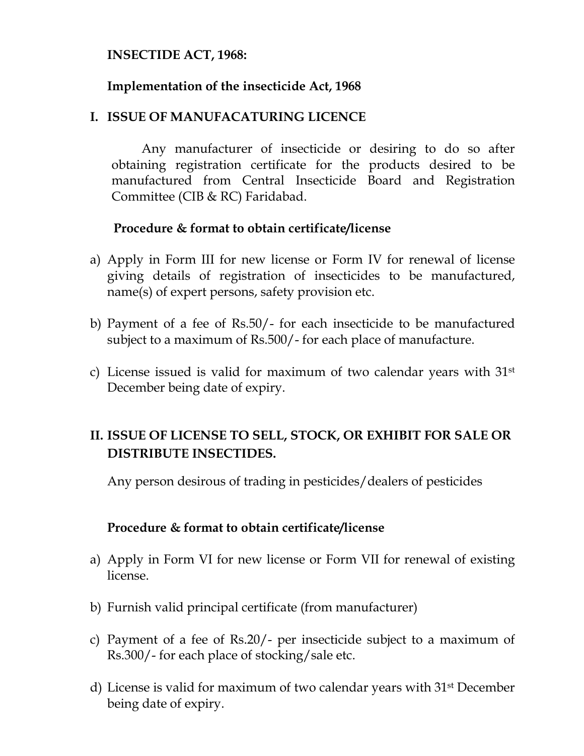#### INSECTIDE ACT, 1968:

#### Implementation of the insecticide Act, 1968

#### I. ISSUE OF MANUFACATURING LICENCE

 Any manufacturer of insecticide or desiring to do so after obtaining registration certificate for the products desired to be manufactured from Central Insecticide Board and Registration Committee (CIB & RC) Faridabad.

#### Procedure & format to obtain certificate/license

- a) Apply in Form III for new license or Form IV for renewal of license giving details of registration of insecticides to be manufactured, name(s) of expert persons, safety provision etc.
- b) Payment of a fee of Rs.50/- for each insecticide to be manufactured subject to a maximum of Rs.500/- for each place of manufacture.
- c) License issued is valid for maximum of two calendar years with  $31<sup>st</sup>$ December being date of expiry.

### II. ISSUE OF LICENSE TO SELL, STOCK, OR EXHIBIT FOR SALE OR DISTRIBUTE INSECTIDES.

Any person desirous of trading in pesticides/dealers of pesticides

#### Procedure & format to obtain certificate/license

- a) Apply in Form VI for new license or Form VII for renewal of existing license.
- b) Furnish valid principal certificate (from manufacturer)
- c) Payment of a fee of Rs.20/- per insecticide subject to a maximum of Rs.300/- for each place of stocking/sale etc.
- d) License is valid for maximum of two calendar years with 31st December being date of expiry.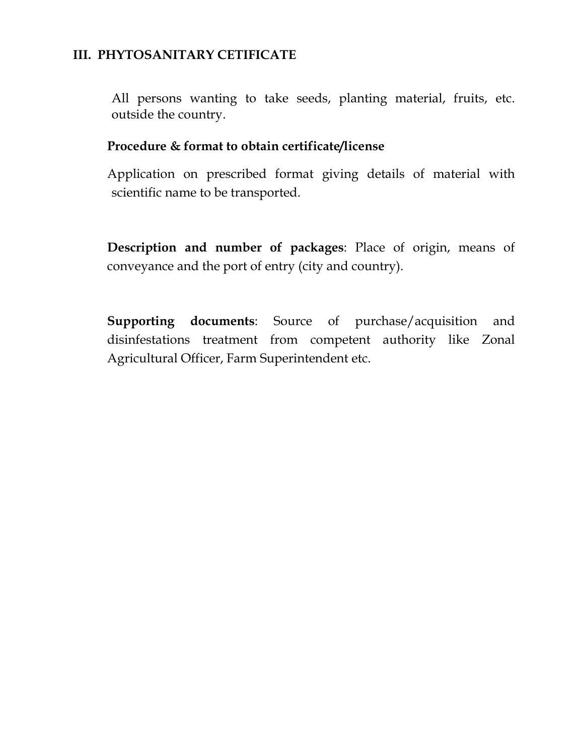#### III. PHYTOSANITARY CETIFICATE

All persons wanting to take seeds, planting material, fruits, etc. outside the country.

#### Procedure & format to obtain certificate/license

Application on prescribed format giving details of material with scientific name to be transported.

Description and number of packages: Place of origin, means of conveyance and the port of entry (city and country).

Supporting documents: Source of purchase/acquisition and disinfestations treatment from competent authority like Zonal Agricultural Officer, Farm Superintendent etc.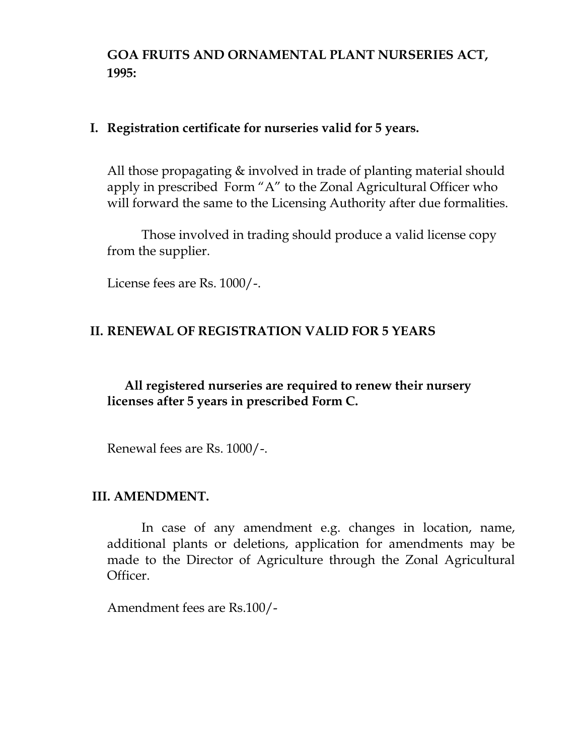GOA FRUITS AND ORNAMENTAL PLANT NURSERIES ACT, 1995:

#### I. Registration certificate for nurseries valid for 5 years.

All those propagating & involved in trade of planting material should apply in prescribed Form "A" to the Zonal Agricultural Officer who will forward the same to the Licensing Authority after due formalities.

 Those involved in trading should produce a valid license copy from the supplier.

License fees are Rs. 1000/-.

#### II. RENEWAL OF REGISTRATION VALID FOR 5 YEARS

#### All registered nurseries are required to renew their nursery licenses after 5 years in prescribed Form C.

Renewal fees are Rs. 1000/-.

#### III. AMENDMENT.

 In case of any amendment e.g. changes in location, name, additional plants or deletions, application for amendments may be made to the Director of Agriculture through the Zonal Agricultural Officer.

Amendment fees are Rs.100/-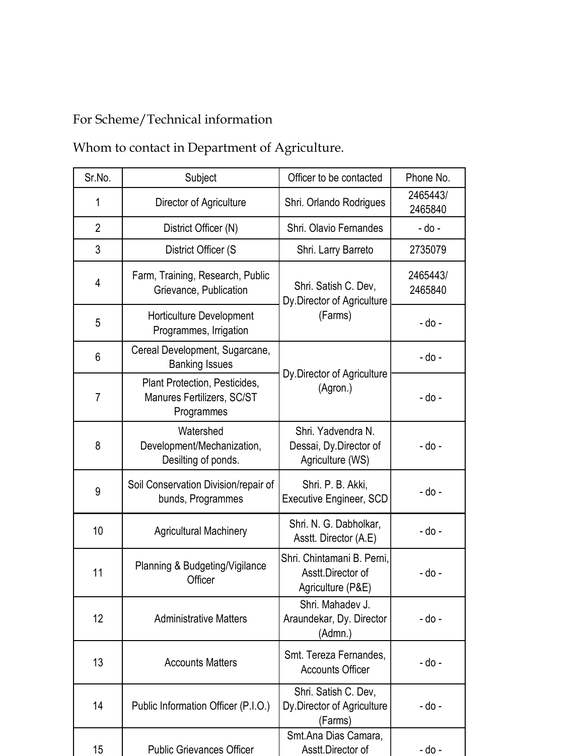# For Scheme/Technical information

Whom to contact in Department of Agriculture.

| Sr.No.         | Subject                                                                   | Officer to be contacted                                                        | Phone No.           |  |
|----------------|---------------------------------------------------------------------------|--------------------------------------------------------------------------------|---------------------|--|
| 1              | Director of Agriculture                                                   | Shri. Orlando Rodrigues                                                        | 2465443/<br>2465840 |  |
| $\overline{2}$ | District Officer (N)                                                      | Shri. Olavio Fernandes                                                         | - do -              |  |
| 3              | District Officer (S                                                       | Shri. Larry Barreto                                                            | 2735079             |  |
| 4              | Farm, Training, Research, Public<br>Grievance, Publication                | Shri. Satish C. Dev,<br>Dy Director of Agriculture                             | 2465443/<br>2465840 |  |
| 5              | Horticulture Development<br>Programmes, Irrigation                        | (Farms)                                                                        | - do -              |  |
| 6              | Cereal Development, Sugarcane,<br><b>Banking Issues</b>                   |                                                                                | - do -              |  |
| $\overline{7}$ | Plant Protection, Pesticides,<br>Manures Fertilizers, SC/ST<br>Programmes | Dy Director of Agriculture<br>(Agron.)                                         | - do -              |  |
| 8              | Watershed<br>Development/Mechanization,<br>Desilting of ponds.            | Shri. Yadvendra N.<br>Dessai, Dy.Director of<br>Agriculture (WS)               | - do -              |  |
| 9              | Soil Conservation Division/repair of<br>bunds, Programmes                 | Shri. P. B. Akki,<br><b>Executive Engineer, SCD</b>                            | - do -              |  |
| 10             | <b>Agricultural Machinery</b>                                             | Shri. N. G. Dabholkar,<br>Asstt. Director (A.E)                                | - do -              |  |
| 11             | Planning & Budgeting/Vigilance<br>Officer                                 | Shri, Chintamani B. Perni.<br>Asstt.Director of<br>- do -<br>Agriculture (P&E) |                     |  |
| 12             | <b>Administrative Matters</b>                                             | Shri. Mahadev J.<br>Araundekar, Dy. Director<br>- do -<br>(Admn.)              |                     |  |
| 13             | <b>Accounts Matters</b>                                                   | Smt. Tereza Fernandes,<br>- do -<br><b>Accounts Officer</b>                    |                     |  |
| 14             | Public Information Officer (P.I.O.)                                       | Shri. Satish C. Dev,<br>Dy Director of Agriculture<br>(Farms)                  | - do -              |  |
| 15             | <b>Public Grievances Officer</b>                                          | Smt.Ana Dias Camara,<br>Asstt.Director of                                      | - do -              |  |